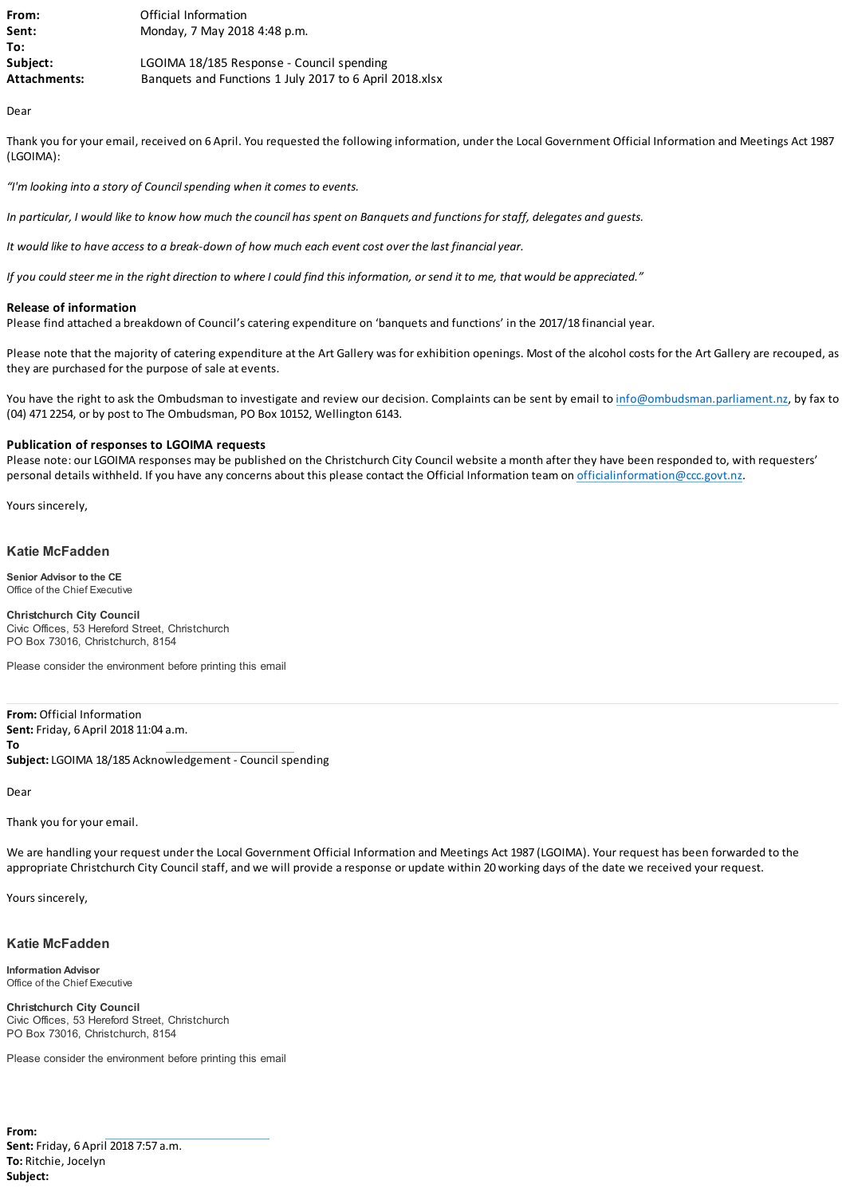| From:               | Official Information                                    |
|---------------------|---------------------------------------------------------|
| Sent:               | Monday, 7 May 2018 4:48 p.m.                            |
| To:                 |                                                         |
| Subject:            | LGOIMA 18/185 Response - Council spending               |
| <b>Attachments:</b> | Banquets and Functions 1 July 2017 to 6 April 2018.xlsx |

Dear

Thank you for your email, received on 6 April. You requested the following information, under the Local Government Official Information and Meetings Act 1987 (LGOIMA):

*"I'm looking into a story of Council spending when it comes to events.*

*In particular, I would like to know how much the council has spent on Banquets and functions for staff, delegates and guests.*

*It would like to have access to a break-down of how much each event cost over the last financial year.*

*If you could steer me in the right direction to where I could find this information, or send it to me, that would be appreciated."*

# **Release of information**

Please find attached a breakdown of Council's catering expenditure on 'banquets and functions' in the 2017/18 financial year.

Please note that the majority of catering expenditure at the Art Gallery was for exhibition openings. Most of the alcohol costs for the Art Gallery are recouped, as they are purchased for the purpose of sale at events.

You have the right to ask the Ombudsman to investigate and review our decision. Complaints can be sent by email to [info@ombudsman.parliament.nz,](mailto:info@ombudsman.parliament.nz) by fax to (04) 471 2254, or by post to The Ombudsman, PO Box 10152, Wellington 6143.

# **Publication of responses to LGOIMA requests**

Please note: our LGOIMA responses may be published on the Christchurch City Council website a month after they have been responded to, with requesters' personal details withheld. If you have any concerns about this please contact the Official Information team on [officialinformation@ccc.govt.nz.](mailto:officialinformation@ccc.govt.nz)

Yours sincerely,

# **Katie McFadden**

**Senior Advisor to the CE** Office of the Chief Executive

**Christchurch City Council** Civic Offices, 53 Hereford Street, Christchurch PO Box 73016, Christchurch, 8154

Please consider the environment before printing this email

**From:** Official Information **Sent:** Friday, 6 April 2018 11:04 a.m.

**To**

**Subject:** LGOIMA 18/185 Acknowledgement - Council spending

Dear

Thank you for your email.

We are handling your request under the Local Government Official Information and Meetings Act 1987 (LGOIMA). Your request has been forwarded to the appropriate Christchurch City Council staff, and we will provide a response or update within 20 working days of the date we received your request.

Yours sincerely,

### **Katie McFadden**

**Information Advisor** Office of the Chief Executive

**Christchurch City Council** Civic Offices, 53 Hereford Street, Christchurch PO Box 73016, Christchurch, 8154

Please consider the environment before printing this email

**From: Sent:** Friday, 6 April 2018 7:57 a.m. **To:** Ritchie, Jocelyn **Subject:**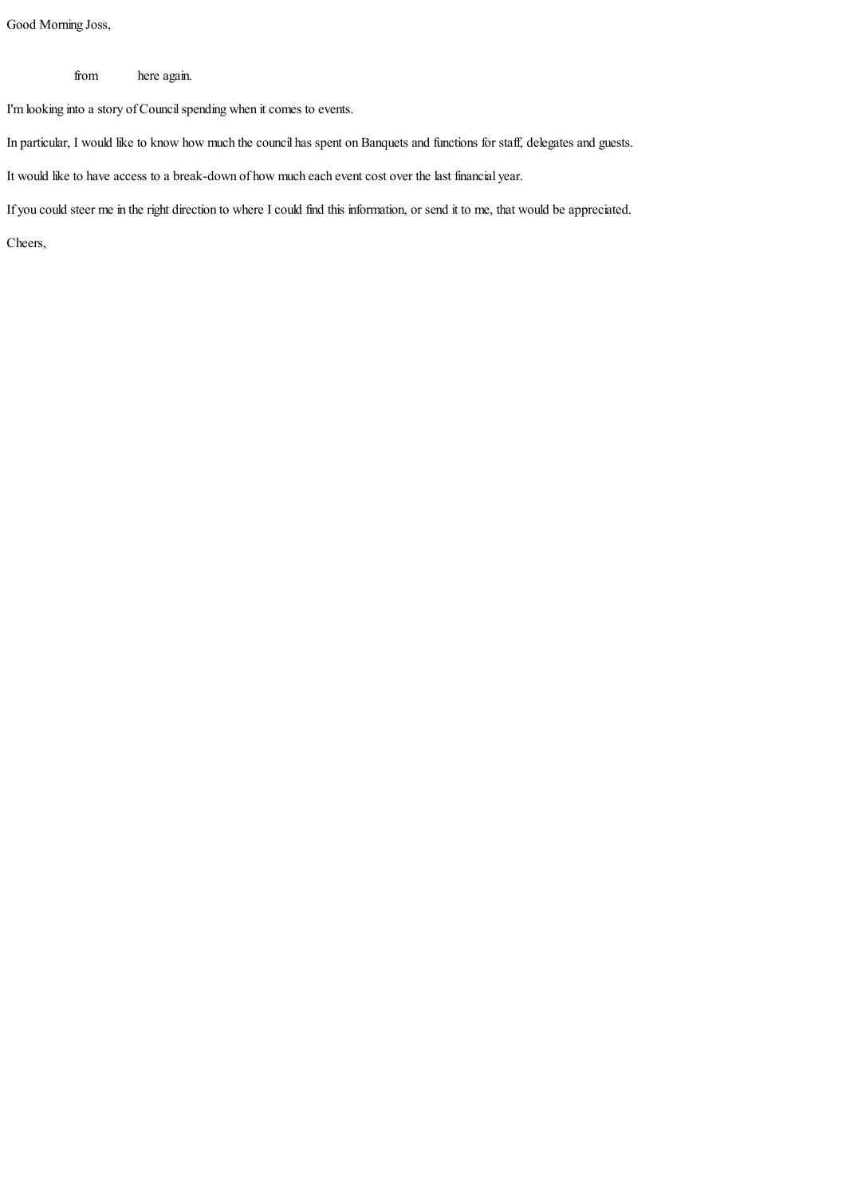Good Morning Joss,

from here again.

I'm looking into a story of Council spending when it comes to events.

In particular, I would like to know how much the council has spent on Banquets and functions for staff, delegates and guests.

It would like to have access to a break-down of how much each event cost over the last financial year.

If you could steer me in the right direction to where I could find this information, or send it to me, that would be appreciated.

Cheers,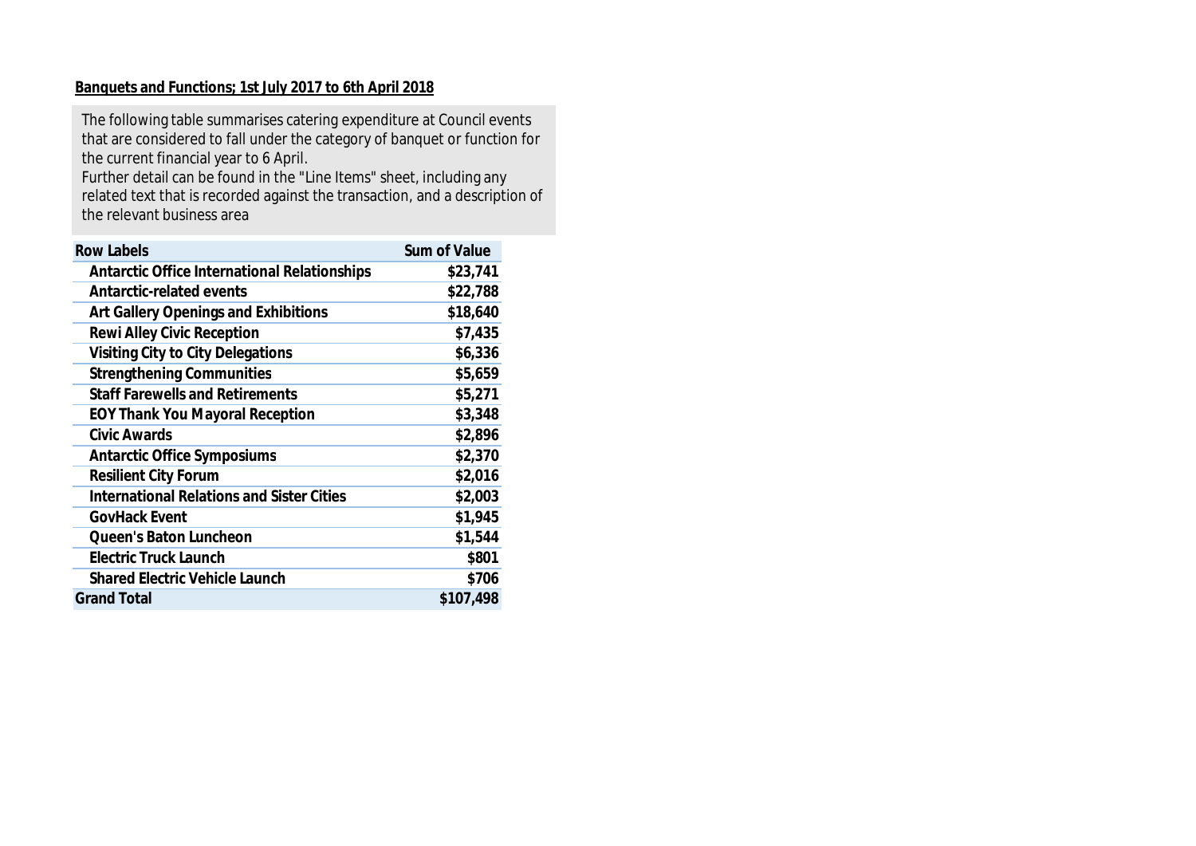# **Banquets and Functions; 1st July 2017 to 6th April 2018**

The following table summarises catering expenditure at Council events that are considered to fall under the category of banquet or function for the current financial year to 6 April.

Further detail can be found in the "Line Items" sheet, including any related text that is recorded against the transaction, and a description of the relevant business area

| <b>Row Labels</b>                            | Sum of Value |
|----------------------------------------------|--------------|
| Antarctic Office International Relationships | \$23,741     |
| Antarctic-related events                     | \$22,788     |
| Art Gallery Openings and Exhibitions         | \$18,640     |
| Rewi Alley Civic Reception                   | \$7,435      |
| Visiting City to City Delegations            | \$6,336      |
| <b>Strengthening Communities</b>             | \$5,659      |
| <b>Staff Farewells and Retirements</b>       | \$5,271      |
| <b>EOY Thank You Mayoral Reception</b>       | \$3,348      |
| Civic Awards                                 | \$2,896      |
| <b>Antarctic Office Symposiums</b>           | \$2,370      |
| <b>Resilient City Forum</b>                  | \$2,016      |
| International Relations and Sister Cities    | \$2,003      |
| GovHack Event                                | \$1,945      |
| Queen's Baton Luncheon                       | \$1,544      |
| Electric Truck Launch                        | \$801        |
| Shared Electric Vehicle Launch               | \$706        |
| <b>Grand Total</b>                           | \$107,498    |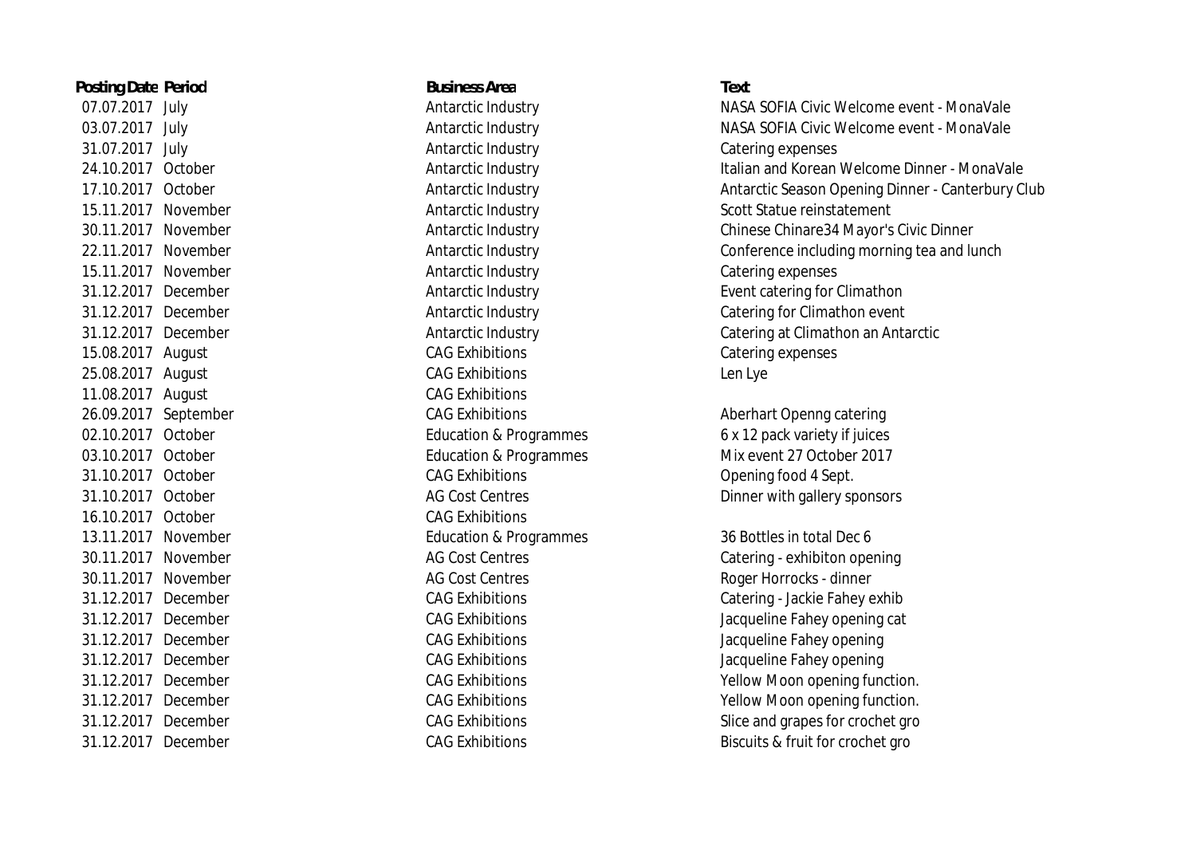**Posting Date Period Business Area Text** 31.07.2017 July Antarctic Industry Catering expenses 15.11.2017 November **Antarctic Industry Catering expenses**  15.08.2017 August CAG Exhibitions Catering expenses 25.08.2017 August CAG Exhibitions Len Lye 11.08.2017 August **CAG Exhibitions** 26.09.2017 September CAG Exhibitions CAG Exhibitions Aberhart Openng catering 31.10.2017 October CAG Exhibitions Opening food 4 Sept. 16.10.2017 October CAG Exhibitions 13.11.2017 November Education & Programmes 36 Bottles in total Dec 6 30.11.2017 November **AG Cost Centres** AG Cost Centres Roger Horrocks - dinner

 07.07.2017 July Antarctic Industry NASA SOFIA Civic Welcome event - MonaVale 03.07.2017 July Antarctic Industry NASA SOFIA Civic Welcome event - MonaVale 24.10.2017 October Antarctic Industry Italian and Korean Welcome Dinner - MonaVale 17.10.2017 October **Antarctic Industry Antarctic Industry** Antarctic Season Opening Dinner - Canterbury Club 15.11.2017 November Antarctic Industry Scott Statue reinstatement 30.11.2017 November Antarctic Industry Chinese Chinare34 Mayor's Civic Dinner 22.11.2017 November **Antarctic Industry** Conference including morning tea and lunch 31.12.2017 December Antarctic Industry Event catering for Climathon 31.12.2017 December Antarctic Industry Catering for Climathon event 31.12.2017 December Antarctic Industry Catering at Climathon an Antarctic

02.10.2017 October **Education & Programmes** 6 x 12 pack variety if juices 03.10.2017 October **Education & Programmes** Mix event 27 October 2017 31.10.2017 October **AG Cost Centres** AG Cost Centres Dinner with gallery sponsors

30.11.2017 November **AG Cost Centres** AG Cost Centres Catering - exhibiton opening 31.12.2017 December CAG Exhibitions Catering - Jackie Fahey exhib 31.12.2017 December CAG Exhibitions Jacqueline Fahey opening cat 31.12.2017 December CAG Exhibitions Jacqueline Fahey opening 31.12.2017 December CAG Exhibitions Jacqueline Fahey opening 31.12.2017 December CAG Exhibitions Yellow Moon opening function. 31.12.2017 December CAG Exhibitions Yellow Moon opening function. 31.12.2017 December CAG Exhibitions CAG Exhibitions Slice and grapes for crochet gro 31.12.2017 December CAG Exhibitions CAG Exhibitions Biscuits & fruit for crochet gro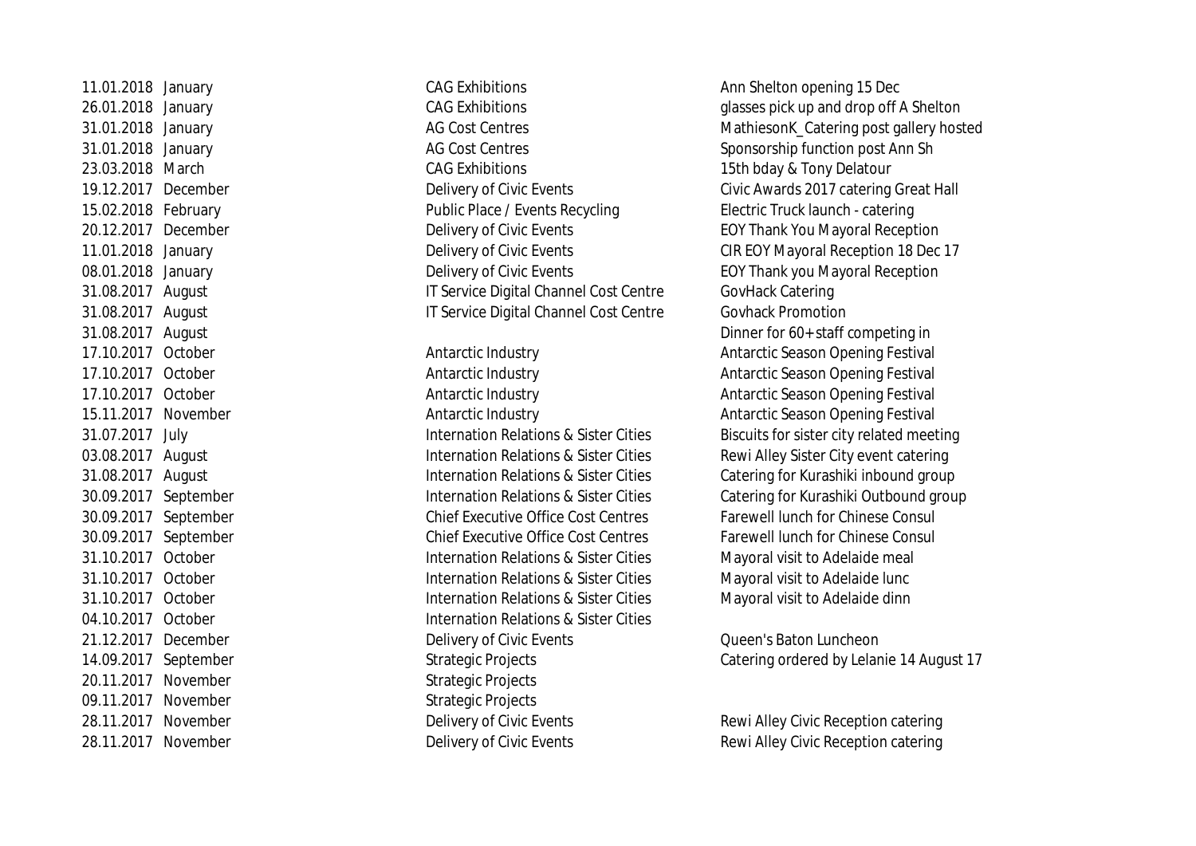20.11.2017 November Strategic Projects 09.11.2017 November Strategic Projects

31.01.2018 January **AG Cost Centres** AG Cost Centres Sponsorship function post Ann Sh 23.03.2018 March CAG Exhibitions 15th bday & Tony Delatour 15.02.2018 February Public Place / Events Recycling Electric Truck launch - catering 20.12.2017 December Delivery of Civic Events EOY Thank You Mayoral Reception 08.01.2018 January **Delivery of Civic Events** EOY Thank you Mayoral Reception 31.08.2017 August IT Service Digital Channel Cost Centre GovHack Catering 31.08.2017 August IT Service Digital Channel Cost Centre Govhack Promotion

 17.10.2017 October Antarctic Industry Antarctic Season Opening Festival 17.10.2017 October **Antarctic Industry** Antarctic Industry **Antarctic Season Opening Festival**  17.10.2017 October Antarctic Industry Antarctic Season Opening Festival 15.11.2017 November Antarctic Industry Antarctic Season Opening Festival 03.08.2017 August **Internation Relations & Sister Cities** Rewi Alley Sister City event catering 30.09.2017 September Chief Executive Office Cost Centres Farewell lunch for Chinese Consul 30.09.2017 September Chief Executive Office Cost Centres Farewell lunch for Chinese Consul 31.10.2017 October Internation Relations & Sister Cities Mayoral visit to Adelaide meal 31.10.2017 October Internation Relations & Sister Cities Mayoral visit to Adelaide lunc 31.10.2017 October Internation Relations & Sister Cities Mayoral visit to Adelaide dinn 04.10.2017 October Internation Relations & Sister Cities 21.12.2017 December Delivery of Civic Events Queen's Baton Luncheon 28.11.2017 November **Delivery of Civic Events** Rewi Alley Civic Reception catering 28.11.2017 November **Delivery of Civic Events** Rewi Alley Civic Reception catering

11.01.2018 January **CAG Exhibitions** CAG Exhibitions Ann Shelton opening 15 Dec 26.01.2018 January **CAG Exhibitions** CAG Exhibitions and drop off A Shelton 31.01.2018 January **AG Cost Centres** AG Cost Centres MathiesonK Catering post gallery hosted 19.12.2017 December **Delivery of Civic Events** Civic Awards 2017 catering Great Hall 11.01.2018 January Delivery of Civic Events CIR EOY Mayoral Reception 18 Dec 17 31.08.2017 August Dinner for 60+ staff competing in 31.07.2017 July Internation Relations & Sister Cities Biscuits for sister city related meeting 31.08.2017 August **Internation Relations & Sister Cities** Catering for Kurashiki inbound group 30.09.2017 September Internation Relations & Sister Cities Catering for Kurashiki Outbound group

14.09.2017 September Strategic Projects Catering ordered by Lelanie 14 August 17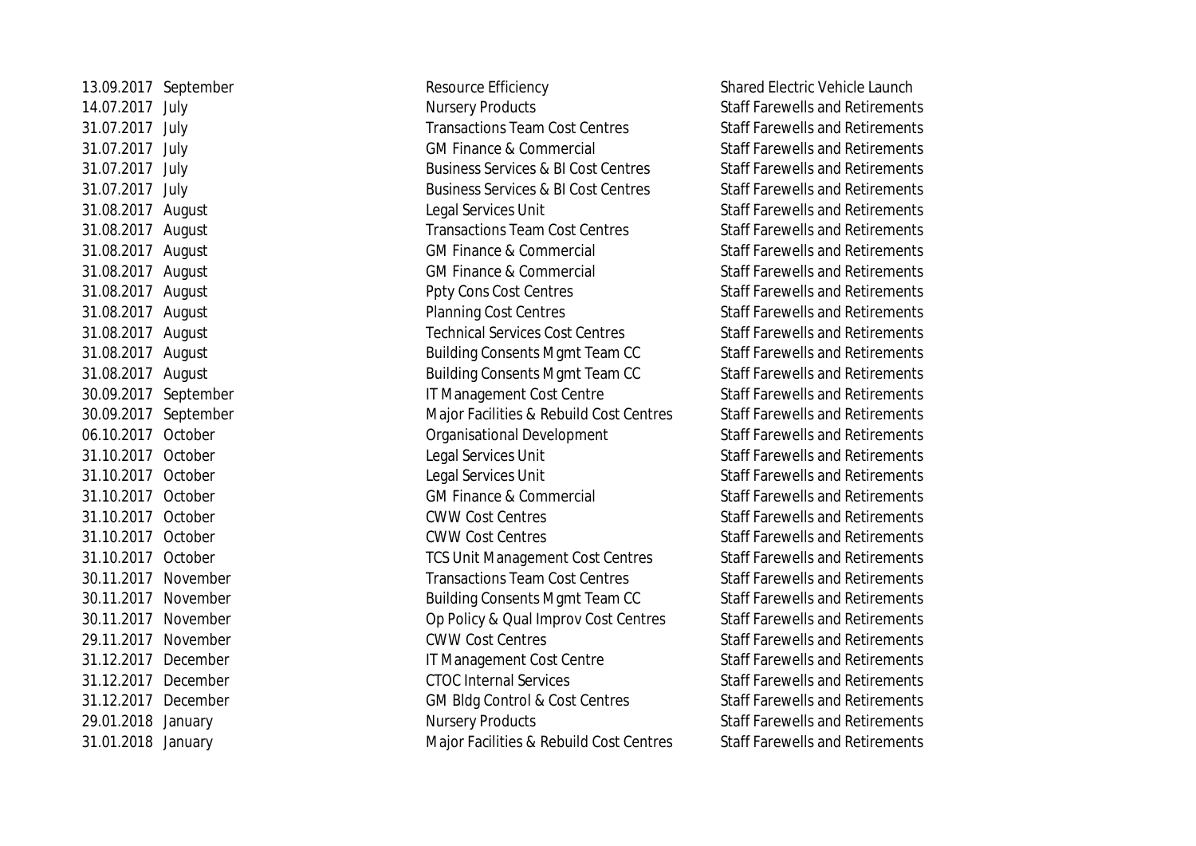13.09.2017 September Resource Efficiency Shared Electric Vehicle Launch 14.07.2017 July **Nursery Products** Nursery Products Staff Farewells and Retirements 31.07.2017 July Transactions Team Cost Centres Staff Farewells and Retirements 31.07.2017 July GM Finance & Commercial Staff Farewells and Retirements 31.07.2017 July Business Services & BI Cost Centres Staff Farewells and Retirements 31.07.2017 July Business Services & BI Cost Centres Staff Farewells and Retirements 31.08.2017 August **August 2.03.2017** August 2.03.2017 August 2.03.2017 August 2.03.2017 August 2.03.2017 August 31.08.2017 August Transactions Team Cost Centres Staff Farewells and Retirements 31.08.2017 August GM Finance & Commercial Staff Farewells and Retirements 31.08.2017 August CM Finance & Commercial Staff Farewells and Retirements 31.08.2017 August **August 2018** Ppty Cons Cost Centres Staff Farewells and Retirements 31.08.2017 August **August 2.1.08.2017** August **Planning Cost Centres** Staff Farewells and Retirements 31.08.2017 August Technical Services Cost Centres Staff Farewells and Retirements 31.08.2017 August **Building Consents Mgmt Team CC** Staff Farewells and Retirements 31.08.2017 August **Building Consents Mgmt Team CC** Staff Farewells and Retirements 30.09.2017 September IT Management Cost Centre Staff Farewells and Retirements 30.09.2017 September Major Facilities & Rebuild Cost Centres Staff Farewells and Retirements 06.10.2017 October Organisational Development Staff Farewells and Retirements 31.10.2017 October **Legal Services Unit** Equation Staff Farewells and Retirements 31.10.2017 October Legal Services Unit Staff Farewells and Retirements 31.10.2017 October GM Finance & Commercial Staff Farewells and Retirements 31.10.2017 October CWW Cost Centres Staff Farewells and Retirements 31.10.2017 October CWW Cost Centres Staff Farewells and Retirements 31.10.2017 October TCS Unit Management Cost Centres Staff Farewells and Retirements 30.11.2017 November Transactions Team Cost Centres Staff Farewells and Retirements 30.11.2017 November Building Consents Mgmt Team CC Staff Farewells and Retirements 30.11.2017 November Op Policy & Qual Improv Cost Centres Staff Farewells and Retirements 29.11.2017 November CWW Cost Centres COME Staff Farewells and Retirements 31.12.2017 December IT Management Cost Centre Staff Farewells and Retirements 31.12.2017 December CTOC Internal Services Staff Farewells and Retirements 31.12.2017 December GM Bldg Control & Cost Centres Staff Farewells and Retirements 29.01.2018 January **Nursery Products** Staff Farewells and Retirements 31.01.2018 January Major Facilities & Rebuild Cost Centres Staff Farewells and Retirements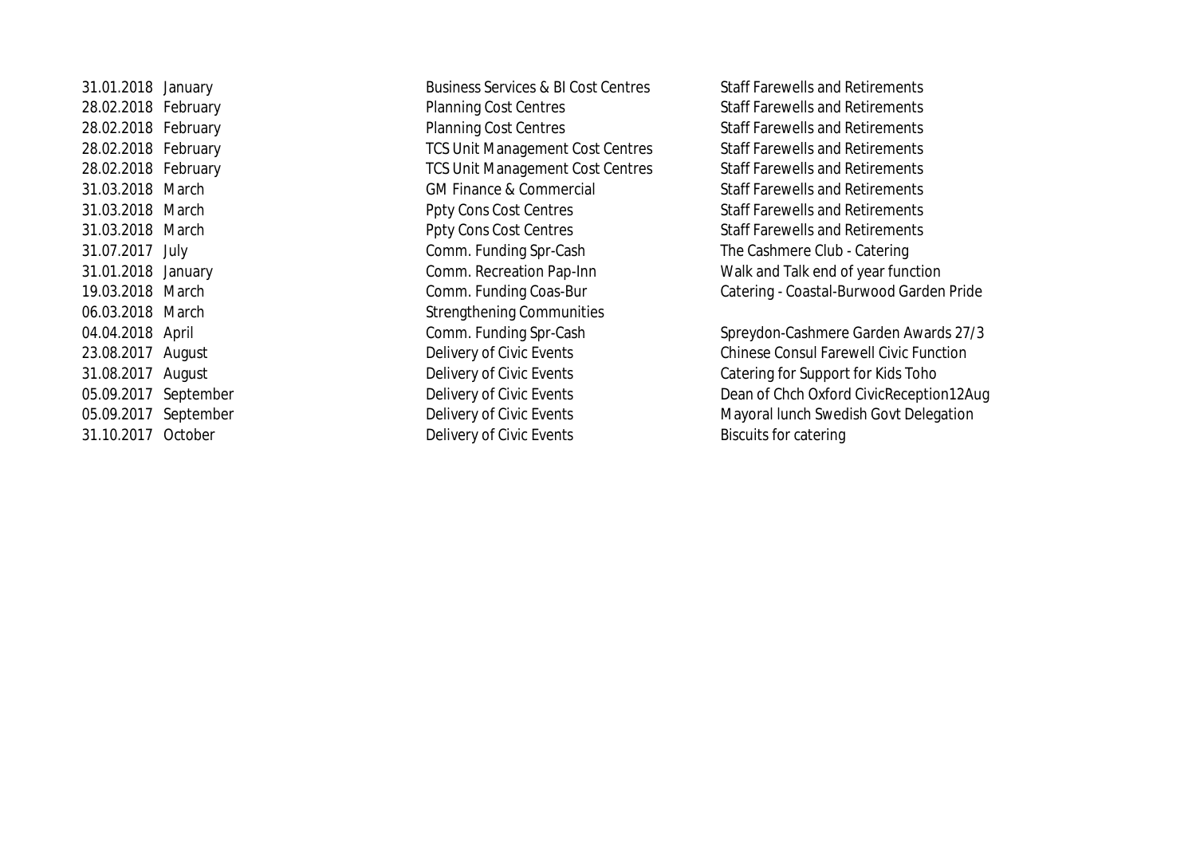28.02.2018 February **Planning Cost Centres** Staff Farewells and Retirements 28.02.2018 February **Planning Cost Centres** Staff Farewells and Retirements 28.02.2018 February **TCS Unit Management Cost Centres** Staff Farewells and Retirements 28.02.2018 February **TCS Unit Management Cost Centres** Staff Farewells and Retirements 31.03.2018 March GM Finance & Commercial Staff Farewells and Retirements 31.03.2018 March Ppty Cons Cost Centres Staff Farewells and Retirements 31.03.2018 March **Ppty Cons Cost Centres** Staff Farewells and Retirements 31.07.2017 July Comm. Funding Spr-Cash The Cashmere Club - Catering 06.03.2018 March Strengthening Communities 31.10.2017 October Delivery of Civic Events Biscuits for catering

31.01.2018 January **Business Services & BI Cost Centres** Staff Farewells and Retirements 31.01.2018 January Comm. Recreation Pap-Inn Walk and Talk end of year function 19.03.2018 March Comm. Funding Coas-Bur Catering - Coastal-Burwood Garden Pride

04.04.2018 April **Accord Comm. Funding Spr-Cash** Spreydon-Cashmere Garden Awards 27/3 23.08.2017 August **Delivery of Civic Events** Chinese Consul Farewell Civic Function 31.08.2017 August Delivery of Civic Events Catering for Support for Kids Toho 05.09.2017 September **Delivery of Civic Events** Dean of Chch Oxford Civic Reception12Aug 05.09.2017 September **Delivery of Civic Events** Mayoral lunch Swedish Govt Delegation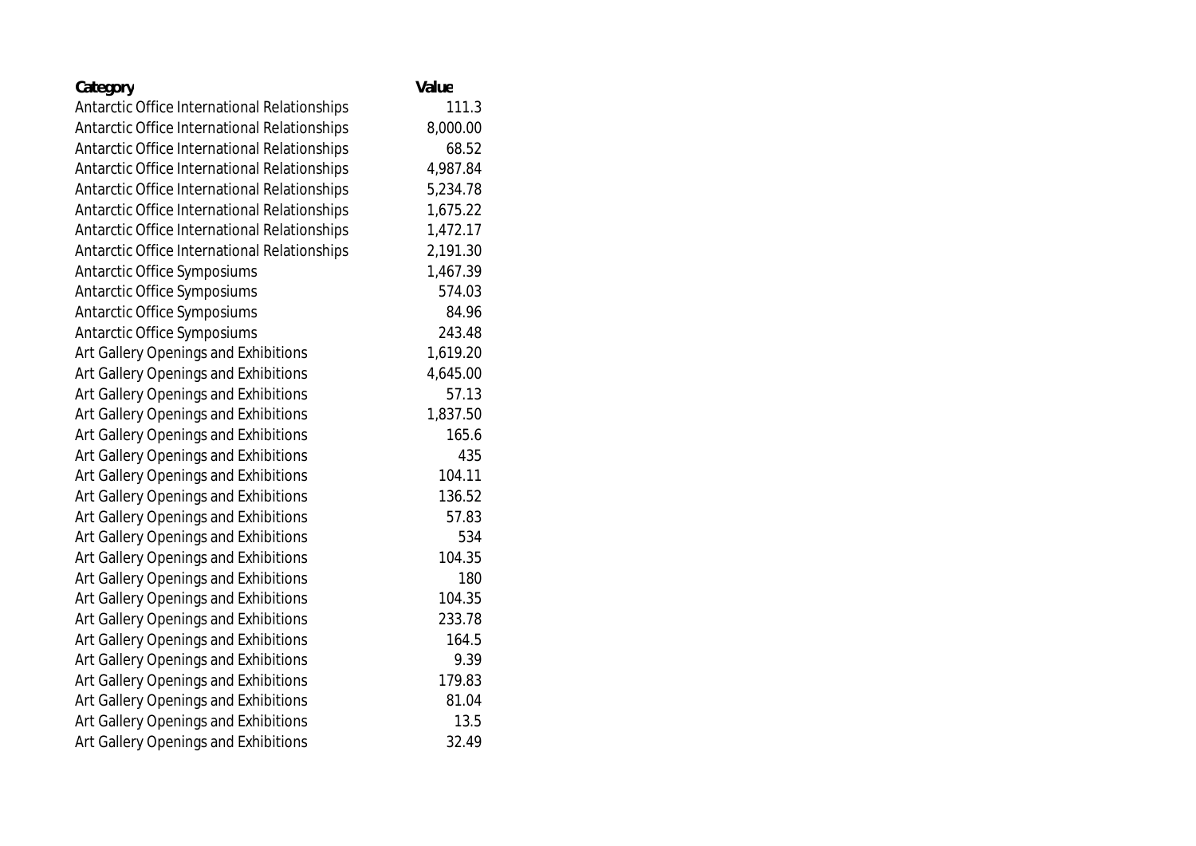| Category                                     | Value    |
|----------------------------------------------|----------|
| Antarctic Office International Relationships | 111.3    |
| Antarctic Office International Relationships | 8,000.00 |
| Antarctic Office International Relationships | 68.52    |
| Antarctic Office International Relationships | 4,987.84 |
| Antarctic Office International Relationships | 5,234.78 |
| Antarctic Office International Relationships | 1,675.22 |
| Antarctic Office International Relationships | 1,472.17 |
| Antarctic Office International Relationships | 2,191.30 |
| Antarctic Office Symposiums                  | 1,467.39 |
| Antarctic Office Symposiums                  | 574.03   |
| Antarctic Office Symposiums                  | 84.96    |
| Antarctic Office Symposiums                  | 243.48   |
| Art Gallery Openings and Exhibitions         | 1,619.20 |
| Art Gallery Openings and Exhibitions         | 4,645.00 |
| Art Gallery Openings and Exhibitions         | 57.13    |
| Art Gallery Openings and Exhibitions         | 1,837.50 |
| Art Gallery Openings and Exhibitions         | 165.6    |
| Art Gallery Openings and Exhibitions         | 435      |
| Art Gallery Openings and Exhibitions         | 104.11   |
| Art Gallery Openings and Exhibitions         | 136.52   |
| Art Gallery Openings and Exhibitions         | 57.83    |
| Art Gallery Openings and Exhibitions         | 534      |
| Art Gallery Openings and Exhibitions         | 104.35   |
| Art Gallery Openings and Exhibitions         | 180      |
| Art Gallery Openings and Exhibitions         | 104.35   |
| Art Gallery Openings and Exhibitions         | 233.78   |
| Art Gallery Openings and Exhibitions         | 164.5    |
| Art Gallery Openings and Exhibitions         | 9.39     |
| Art Gallery Openings and Exhibitions         | 179.83   |
| Art Gallery Openings and Exhibitions         | 81.04    |
| Art Gallery Openings and Exhibitions         | 13.5     |
| Art Gallery Openings and Exhibitions         | 32.49    |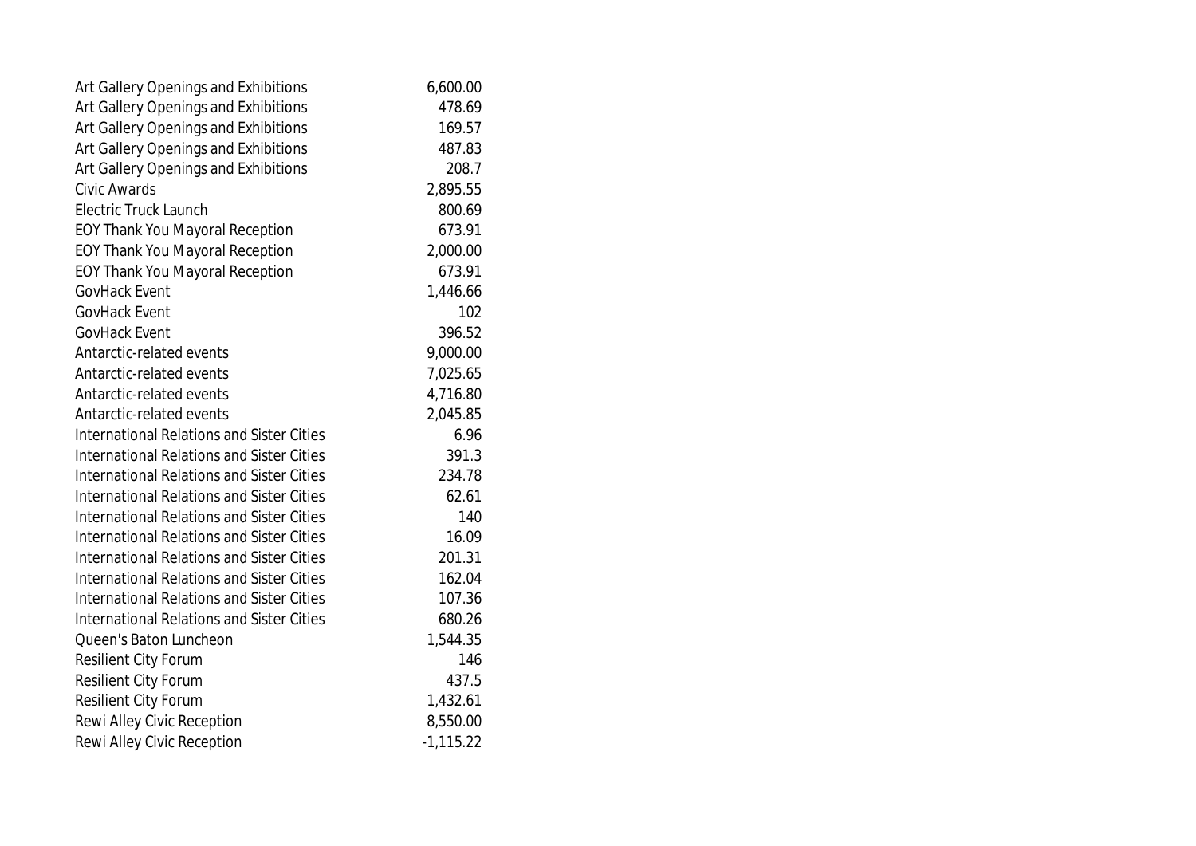| Art Gallery Openings and Exhibitions             | 6,600.00    |
|--------------------------------------------------|-------------|
| Art Gallery Openings and Exhibitions             | 478.69      |
| Art Gallery Openings and Exhibitions             | 169.57      |
| Art Gallery Openings and Exhibitions             | 487.83      |
| Art Gallery Openings and Exhibitions             | 208.7       |
| Civic Awards                                     | 2,895.55    |
| <b>Electric Truck Launch</b>                     | 800.69      |
| <b>EOY Thank You Mayoral Reception</b>           | 673.91      |
| <b>EOY Thank You Mayoral Reception</b>           | 2,000.00    |
| <b>EOY Thank You Mayoral Reception</b>           | 673.91      |
| GovHack Event                                    | 1,446.66    |
| <b>GovHack Event</b>                             | 102         |
| GovHack Event                                    | 396.52      |
| Antarctic-related events                         | 9,000.00    |
| Antarctic-related events                         | 7,025.65    |
| Antarctic-related events                         | 4,716.80    |
| Antarctic-related events                         | 2,045.85    |
| <b>International Relations and Sister Cities</b> | 6.96        |
| International Relations and Sister Cities        | 391.3       |
| International Relations and Sister Cities        | 234.78      |
| <b>International Relations and Sister Cities</b> | 62.61       |
| <b>International Relations and Sister Cities</b> | 140         |
| <b>International Relations and Sister Cities</b> | 16.09       |
| <b>International Relations and Sister Cities</b> | 201.31      |
| International Relations and Sister Cities        | 162.04      |
| <b>International Relations and Sister Cities</b> | 107.36      |
| <b>International Relations and Sister Cities</b> | 680.26      |
| Queen's Baton Luncheon                           | 1,544.35    |
| <b>Resilient City Forum</b>                      | 146         |
| Resilient City Forum                             | 437.5       |
| <b>Resilient City Forum</b>                      | 1,432.61    |
| Rewi Alley Civic Reception                       | 8,550.00    |
| Rewi Alley Civic Reception                       | $-1,115.22$ |
|                                                  |             |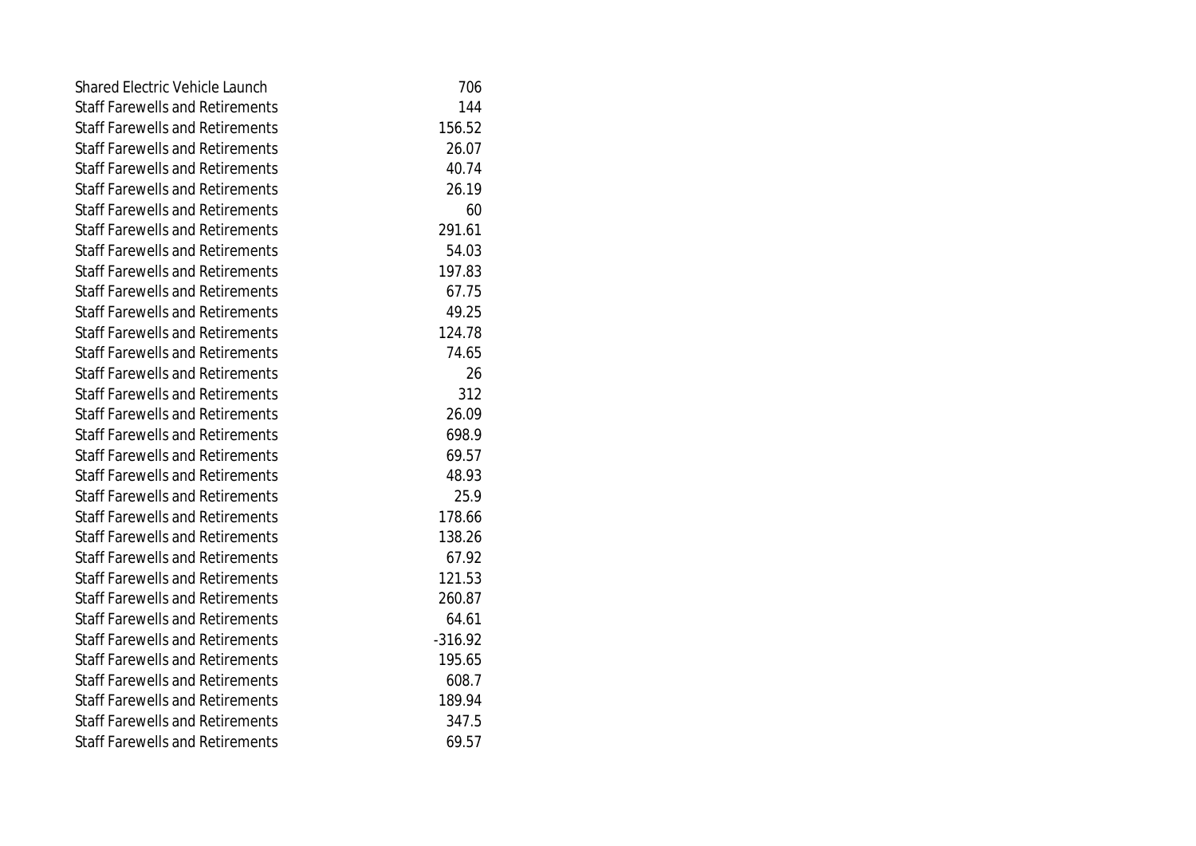| <b>Shared Electric Vehicle Launch</b>  | 706       |
|----------------------------------------|-----------|
| <b>Staff Farewells and Retirements</b> | 144       |
| <b>Staff Farewells and Retirements</b> | 156.52    |
| <b>Staff Farewells and Retirements</b> | 26.07     |
| <b>Staff Farewells and Retirements</b> | 40.74     |
| <b>Staff Farewells and Retirements</b> | 26.19     |
| <b>Staff Farewells and Retirements</b> | 60        |
| <b>Staff Farewells and Retirements</b> | 291.61    |
| <b>Staff Farewells and Retirements</b> | 54.03     |
| <b>Staff Farewells and Retirements</b> | 197.83    |
| <b>Staff Farewells and Retirements</b> | 67.75     |
| <b>Staff Farewells and Retirements</b> | 49.25     |
| <b>Staff Farewells and Retirements</b> | 124.78    |
| <b>Staff Farewells and Retirements</b> | 74.65     |
| <b>Staff Farewells and Retirements</b> | 26        |
| <b>Staff Farewells and Retirements</b> | 312       |
| <b>Staff Farewells and Retirements</b> | 26.09     |
| <b>Staff Farewells and Retirements</b> | 698.9     |
| <b>Staff Farewells and Retirements</b> | 69.57     |
| <b>Staff Farewells and Retirements</b> | 48.93     |
| <b>Staff Farewells and Retirements</b> | 25.9      |
| <b>Staff Farewells and Retirements</b> | 178.66    |
| <b>Staff Farewells and Retirements</b> | 138.26    |
| <b>Staff Farewells and Retirements</b> | 67.92     |
| <b>Staff Farewells and Retirements</b> | 121.53    |
| <b>Staff Farewells and Retirements</b> | 260.87    |
| <b>Staff Farewells and Retirements</b> | 64.61     |
| <b>Staff Farewells and Retirements</b> | $-316.92$ |
| <b>Staff Farewells and Retirements</b> | 195.65    |
| <b>Staff Farewells and Retirements</b> | 608.7     |
| <b>Staff Farewells and Retirements</b> | 189.94    |
| <b>Staff Farewells and Retirements</b> | 347.5     |
| <b>Staff Farewells and Retirements</b> | 69.57     |